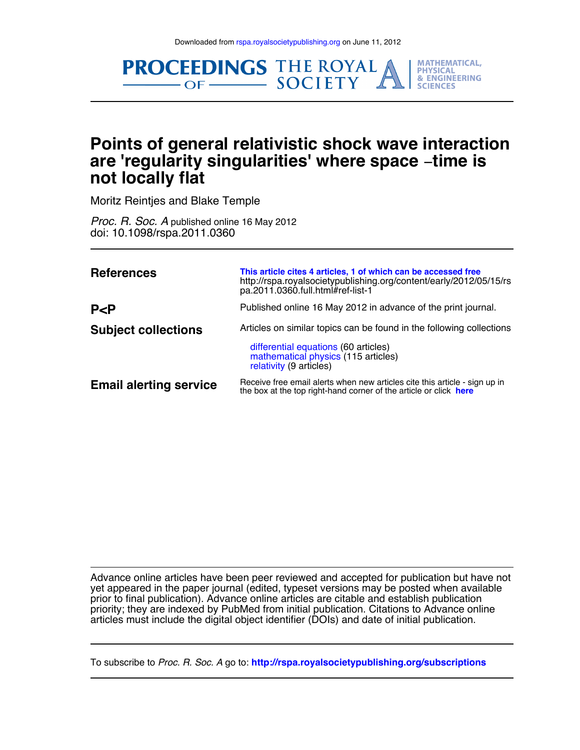**MATHEMATICAL, PHYSICAL** & ENGINEERING **SCIENCES** 

**PROCEEDINGS THE ROYAL AND SOCIETY** 



Moritz Reintjes and Blake Temple

doi: 10.1098/rspa.2011.0360 *Proc. R. Soc. A* published online 16 May 2012

| <b>References</b>             | This article cites 4 articles, 1 of which can be accessed free<br>http://rspa.royalsocietypublishing.org/content/early/2012/05/15/rs<br>pa.2011.0360.full.html#ref-list-1 |
|-------------------------------|---------------------------------------------------------------------------------------------------------------------------------------------------------------------------|
| P < P                         | Published online 16 May 2012 in advance of the print journal.                                                                                                             |
| <b>Subject collections</b>    | Articles on similar topics can be found in the following collections                                                                                                      |
|                               | differential equations (60 articles)<br>mathematical physics (115 articles)<br>relativity (9 articles)                                                                    |
| <b>Email alerting service</b> | Receive free email alerts when new articles cite this article - sign up in<br>the box at the top right-hand corner of the article or click here                           |

articles must include the digital object identifier (DOIs) and date of initial publication. priority; they are indexed by PubMed from initial publication. Citations to Advance online prior to final publication). Advance online articles are citable and establish publication yet appeared in the paper journal (edited, typeset versions may be posted when available Advance online articles have been peer reviewed and accepted for publication but have not

To subscribe to *Proc. R. Soc. A* go to: **http://rspa.royalsocietypublishing.org/subscriptions**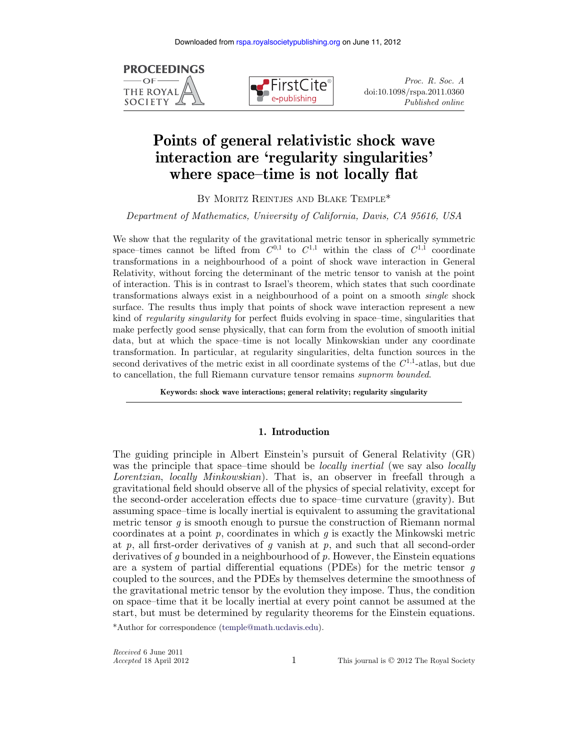



*Proc. R. Soc. A* doi:10.1098/rspa.2011.0360 *Published online*

# **Points of general relativistic shock wave interaction are 'regularity singularities' where space–time is not locally flat**

BY MORITZ REINTJES AND BLAKE TEMPLE\*

*Department of Mathematics, University of California, Davis, CA 95616, USA*

We show that the regularity of the gravitational metric tensor in spherically symmetric space–times cannot be lifted from  $C^{0,1}$  to  $C^{1,1}$  within the class of  $C^{1,1}$  coordinate transformations in a neighbourhood of a point of shock wave interaction in General Relativity, without forcing the determinant of the metric tensor to vanish at the point of interaction. This is in contrast to Israel's theorem, which states that such coordinate transformations always exist in a neighbourhood of a point on a smooth *single* shock surface. The results thus imply that points of shock wave interaction represent a new kind of *regularity singularity* for perfect fluids evolving in space–time, singularities that make perfectly good sense physically, that can form from the evolution of smooth initial data, but at which the space–time is not locally Minkowskian under any coordinate transformation. In particular, at regularity singularities, delta function sources in the second derivatives of the metric exist in all coordinate systems of the  $C^{1,1}$ -atlas, but due to cancellation, the full Riemann curvature tensor remains *supnorm bounded*.

**Keywords: shock wave interactions; general relativity; regularity singularity**

# **1. Introduction**

The guiding principle in Albert Einstein's pursuit of General Relativity (GR) was the principle that space–time should be *locally inertial* (we say also *locally Lorentzian*, *locally Minkowskian*). That is, an observer in freefall through a gravitational field should observe all of the physics of special relativity, except for the second-order acceleration effects due to space–time curvature (gravity). But assuming space–time is locally inertial is equivalent to assuming the gravitational metric tensor *g* is smooth enough to pursue the construction of Riemann normal coordinates at a point *p*, coordinates in which *g* is exactly the Minkowski metric at *p*, all first-order derivatives of *g* vanish at *p*, and such that all second-order derivatives of *g* bounded in a neighbourhood of *p*. However, the Einstein equations are a system of partial differential equations (PDEs) for the metric tensor *g* coupled to the sources, and the PDEs by themselves determine the smoothness of the gravitational metric tensor by the evolution they impose. Thus, the condition on space–time that it be locally inertial at every point cannot be assumed at the start, but must be determined by regularity theorems for the Einstein equations.

\*Author for correspondence (temple@math.ucdavis.edu).

*Received* 6 June 2011

**Accepted** 18 April 2012 The Royal Society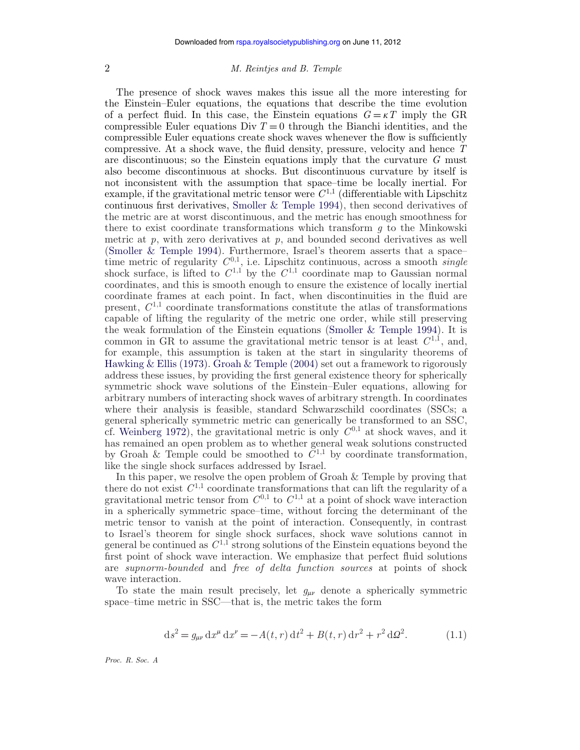The presence of shock waves makes this issue all the more interesting for the Einstein–Euler equations, the equations that describe the time evolution of a perfect fluid. In this case, the Einstein equations  $G = \kappa T$  imply the GR compressible Euler equations Div  $T=0$  through the Bianchi identities, and the compressible Euler equations create shock waves whenever the flow is sufficiently compressive. At a shock wave, the fluid density, pressure, velocity and hence *T* are discontinuous; so the Einstein equations imply that the curvature *G* must also become discontinuous at shocks. But discontinuous curvature by itself is not inconsistent with the assumption that space–time be locally inertial. For example, if the gravitational metric tensor were  $C^{1,1}$  (differentiable with Lipschitz continuous first derivatives, Smoller & Temple 1994), then second derivatives of the metric are at worst discontinuous, and the metric has enough smoothness for there to exist coordinate transformations which transform *g* to the Minkowski metric at  $p$ , with zero derivatives at  $p$ , and bounded second derivatives as well (Smoller & Temple 1994). Furthermore, Israel's theorem asserts that a space– time metric of regularity  $C^{0,1}$ , i.e. Lipschitz continuous, across a smooth *single* shock surface, is lifted to  $C^{1,1}$  by the  $C^{1,1}$  coordinate map to Gaussian normal coordinates, and this is smooth enough to ensure the existence of locally inertial coordinate frames at each point. In fact, when discontinuities in the fluid are present,  $C^{1,1}$  coordinate transformations constitute the atlas of transformations capable of lifting the regularity of the metric one order, while still preserving the weak formulation of the Einstein equations (Smoller & Temple 1994). It is common in GR to assume the gravitational metric tensor is at least  $C^{1,1}$ , and, for example, this assumption is taken at the start in singularity theorems of Hawking  $&$  Ellis (1973). Groah  $&$  Temple (2004) set out a framework to rigorously address these issues, by providing the first general existence theory for spherically symmetric shock wave solutions of the Einstein–Euler equations, allowing for arbitrary numbers of interacting shock waves of arbitrary strength. In coordinates where their analysis is feasible, standard Schwarzschild coordinates (SSCs; a general spherically symmetric metric can generically be transformed to an SSC, cf. Weinberg 1972), the gravitational metric is only  $C^{0,1}$  at shock waves, and it has remained an open problem as to whether general weak solutions constructed by Groah & Temple could be smoothed to  $\check{C}^{1,1}$  by coordinate transformation, like the single shock surfaces addressed by Israel.

In this paper, we resolve the open problem of Groah & Temple by proving that there do not exist  $C^{1,1}$  coordinate transformations that can lift the regularity of a gravitational metric tensor from  $C^{0,1}$  to  $C^{1,1}$  at a point of shock wave interaction in a spherically symmetric space–time, without forcing the determinant of the metric tensor to vanish at the point of interaction. Consequently, in contrast to Israel's theorem for single shock surfaces, shock wave solutions cannot in general be continued as  $C^{1,1}$  strong solutions of the Einstein equations beyond the first point of shock wave interaction. We emphasize that perfect fluid solutions are *supnorm-bounded* and *free of delta function sources* at points of shock wave interaction.

To state the main result precisely, let  $g_{\mu\nu}$  denote a spherically symmetric space–time metric in SSC—that is, the metric takes the form

$$
ds^{2} = g_{\mu\nu} dx^{\mu} dx^{\nu} = -A(t, r) dt^{2} + B(t, r) dr^{2} + r^{2} d\Omega^{2}.
$$
 (1.1)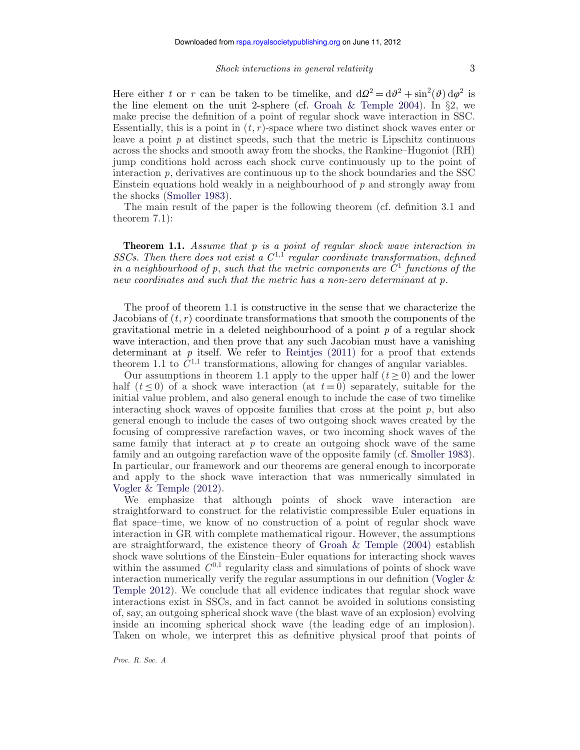Here either *t* or *r* can be taken to be timelike, and  $d\Omega^2 = d\vartheta^2 + \sin^2(\vartheta) d\varphi^2$  is the line element on the unit 2-sphere (cf. Groah  $\&$  Temple 2004). In §2, we make precise the definition of a point of regular shock wave interaction in SSC. Essentially, this is a point in (*t*, *r*)-space where two distinct shock waves enter or leave a point  $p$  at distinct speeds, such that the metric is Lipschitz continuous across the shocks and smooth away from the shocks, the Rankine–Hugoniot (RH) jump conditions hold across each shock curve continuously up to the point of interaction  $p$ , derivatives are continuous up to the shock boundaries and the SSC Einstein equations hold weakly in a neighbourhood of *p* and strongly away from the shocks (Smoller 1983).

The main result of the paper is the following theorem (cf. definition 3.1 and theorem 7.1):

**Theorem 1.1.** *Assume that p is a point of regular shock wave interaction in SSCs. Then there does not exist a C*1,1 *regular coordinate transformation*, *defined in a neighbourhood of p, such that the metric components are*  $C<sup>1</sup>$  *functions of the new coordinates and such that the metric has a non-zero determinant at p.*

The proof of theorem 1.1 is constructive in the sense that we characterize the Jacobians of (*t*, *r*) coordinate transformations that smooth the components of the gravitational metric in a deleted neighbourhood of a point *p* of a regular shock wave interaction, and then prove that any such Jacobian must have a vanishing determinant at *p* itself. We refer to Reintjes (2011) for a proof that extends theorem 1.1 to  $\tilde{C}^{1,1}$  transformations, allowing for changes of angular variables.

Our assumptions in theorem 1.1 apply to the upper half  $(t \ge 0)$  and the lower half  $(t < 0)$  of a shock wave interaction (at  $t = 0$ ) separately, suitable for the initial value problem, and also general enough to include the case of two timelike interacting shock waves of opposite families that cross at the point  $p$ , but also general enough to include the cases of two outgoing shock waves created by the focusing of compressive rarefaction waves, or two incoming shock waves of the same family that interact at *p* to create an outgoing shock wave of the same family and an outgoing rarefaction wave of the opposite family (cf. Smoller 1983). In particular, our framework and our theorems are general enough to incorporate and apply to the shock wave interaction that was numerically simulated in Vogler & Temple (2012).

We emphasize that although points of shock wave interaction are straightforward to construct for the relativistic compressible Euler equations in flat space–time, we know of no construction of a point of regular shock wave interaction in GR with complete mathematical rigour. However, the assumptions are straightforward, the existence theory of Groah  $\&$  Temple (2004) establish shock wave solutions of the Einstein–Euler equations for interacting shock waves within the assumed  $C^{0,1}$  regularity class and simulations of points of shock wave interaction numerically verify the regular assumptions in our definition (Vogler & Temple 2012). We conclude that all evidence indicates that regular shock wave interactions exist in SSCs, and in fact cannot be avoided in solutions consisting of, say, an outgoing spherical shock wave (the blast wave of an explosion) evolving inside an incoming spherical shock wave (the leading edge of an implosion). Taken on whole, we interpret this as definitive physical proof that points of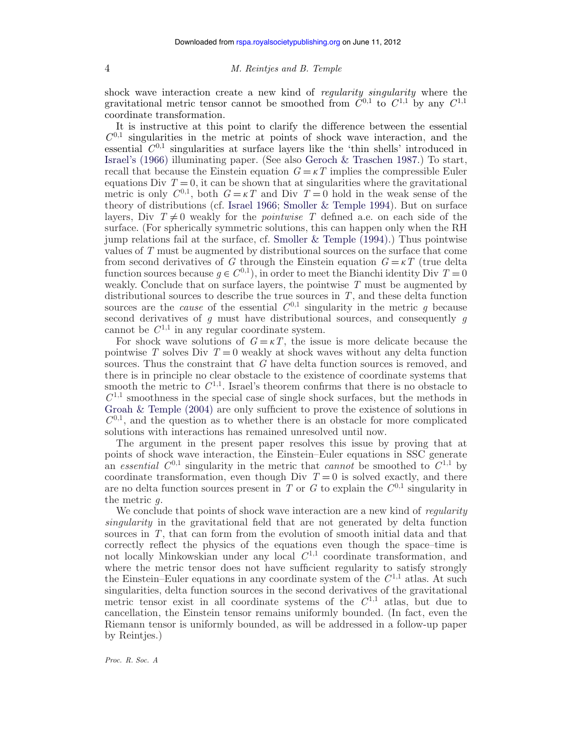shock wave interaction create a new kind of *regularity singularity* where the gravitational metric tensor cannot be smoothed from  $C^{0,1}$  to  $C^{1,1}$  by any  $C^{1,1}$ coordinate transformation.

It is instructive at this point to clarify the difference between the essential  $C^{0,1}$  singularities in the metric at points of shock wave interaction, and the essential  $C^{0,1}$  singularities at surface layers like the 'thin shells' introduced in Israel's (1966) illuminating paper. (See also Geroch & Traschen 1987.) To start, recall that because the Einstein equation  $G = \kappa T$  implies the compressible Euler equations Div  $T = 0$ , it can be shown that at singularities where the gravitational metric is only  $C^{0,1}$ , both  $G = \kappa T$  and Div  $T = 0$  hold in the weak sense of the theory of distributions (cf. Israel 1966; Smoller & Temple 1994). But on surface layers, Div  $T \neq 0$  weakly for the *pointwise* T defined a.e. on each side of the surface. (For spherically symmetric solutions, this can happen only when the RH jump relations fail at the surface, cf. Smoller & Temple (1994).) Thus pointwise values of *T* must be augmented by distributional sources on the surface that come from second derivatives of *G* through the Einstein equation  $G = \kappa T$  (true delta function sources because  $g \in C^{0,1}$ , in order to meet the Bianchi identity Div  $T = 0$ weakly. Conclude that on surface layers, the pointwise *T* must be augmented by distributional sources to describe the true sources in *T*, and these delta function sources are the *cause* of the essential  $C^{0,1}$  singularity in the metric q because second derivatives of *g* must have distributional sources, and consequently *g* cannot be  $C^{1,1}$  in any regular coordinate system.

For shock wave solutions of  $G = \kappa T$ , the issue is more delicate because the pointwise *T* solves Div  $T = 0$  weakly at shock waves without any delta function sources. Thus the constraint that *G* have delta function sources is removed, and there is in principle no clear obstacle to the existence of coordinate systems that smooth the metric to  $C^{1,1}$ . Israel's theorem confirms that there is no obstacle to  $C^{1,1}$  smoothness in the special case of single shock surfaces, but the methods in Groah & Temple (2004) are only sufficient to prove the existence of solutions in  $C^{0,1}$ , and the question as to whether there is an obstacle for more complicated solutions with interactions has remained unresolved until now.

The argument in the present paper resolves this issue by proving that at points of shock wave interaction, the Einstein–Euler equations in SSC generate an *essential*  $C^{0,1}$  singularity in the metric that *cannot* be smoothed to  $C^{1,1}$  by coordinate transformation, even though Div  $T=0$  is solved exactly, and there are no delta function sources present in *T* or *G* to explain the  $C^{0,1}$  singularity in the metric *g*.

We conclude that points of shock wave interaction are a new kind of *regularity singularity* in the gravitational field that are not generated by delta function sources in *T*, that can form from the evolution of smooth initial data and that correctly reflect the physics of the equations even though the space–time is not locally Minkowskian under any local  $C^{1,1}$  coordinate transformation, and where the metric tensor does not have sufficient regularity to satisfy strongly the Einstein–Euler equations in any coordinate system of the  $C^{1,1}$  atlas. At such singularities, delta function sources in the second derivatives of the gravitational metric tensor exist in all coordinate systems of the  $C^{1,1}$  atlas, but due to cancellation, the Einstein tensor remains uniformly bounded. (In fact, even the Riemann tensor is uniformly bounded, as will be addressed in a follow-up paper by Reintjes.)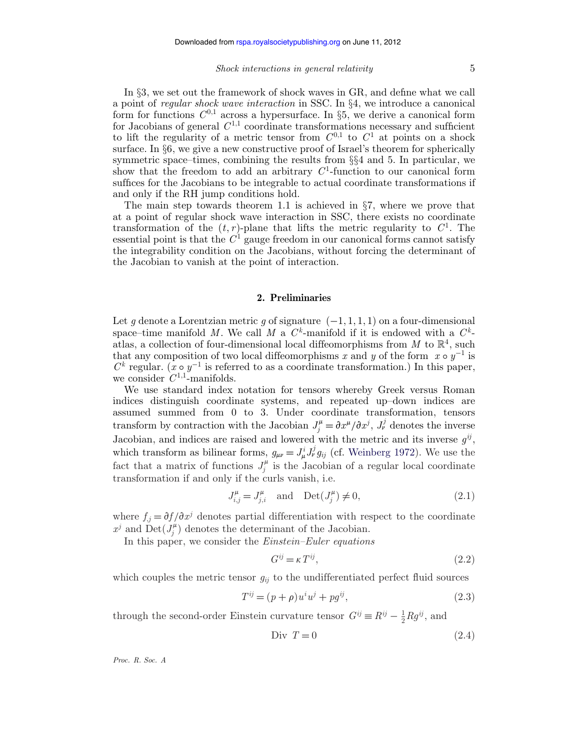In §3, we set out the framework of shock waves in GR, and define what we call a point of *regular shock wave interaction* in SSC. In §4, we introduce a canonical form for functions  $C^{0,1}$  across a hypersurface. In §5, we derive a canonical form for Jacobians of general  $C^{1,1}$  coordinate transformations necessary and sufficient to lift the regularity of a metric tensor from  $C^{0,1}$  to  $C^1$  at points on a shock surface. In §6, we give a new constructive proof of Israel's theorem for spherically symmetric space–times, combining the results from §§4 and 5. In particular, we show that the freedom to add an arbitrary  $C<sup>1</sup>$ -function to our canonical form suffices for the Jacobians to be integrable to actual coordinate transformations if and only if the RH jump conditions hold.

The main step towards theorem 1.1 is achieved in §7, where we prove that at a point of regular shock wave interaction in SSC, there exists no coordinate transformation of the  $(t, r)$ -plane that lifts the metric regularity to  $C<sup>1</sup>$ . The essential point is that the  $C^1$  gauge freedom in our canonical forms cannot satisfy the integrability condition on the Jacobians, without forcing the determinant of the Jacobian to vanish at the point of interaction.

## **2. Preliminaries**

Let *g* denote a Lorentzian metric *g* of signature  $(-1, 1, 1, 1)$  on a four-dimensional space–time manifold *M*. We call *M* a  $C^k$ -manifold if it is endowed with a  $C^k$ atlas, a collection of four-dimensional local diffeomorphisms from  $M$  to  $\mathbb{R}^4$ , such that any composition of two local diffeomorphisms *x* and *y* of the form  $x \circ y^{-1}$  is  $C<sup>k</sup>$  regular. ( $x \circ y^{-1}$  is referred to as a coordinate transformation.) In this paper, we consider  $C^{1,1}$ -manifolds.

We use standard index notation for tensors whereby Greek versus Roman indices distinguish coordinate systems, and repeated up–down indices are assumed summed from 0 to 3. Under coordinate transformation, tensors transform by contraction with the Jacobian  $J_j^{\mu} = \partial x^{\mu}/\partial x^j$ ,  $J_{\nu}^j$  denotes the inverse Jacobian, and indices are raised and lowered with the metric and its inverse  $q^{ij}$ , which transform as bilinear forms,  $g_{\mu\nu} = J^i_\mu J^j_\nu g_{ij}$  (cf. Weinberg 1972). We use the fact that a matrix of functions  $J_j^{\mu}$  is the Jacobian of a regular local coordinate transformation if and only if the curls vanish, i.e.

$$
J_{i,j}^{\mu} = J_{j,i}^{\mu} \quad \text{and} \quad \text{Det}(J_j^{\mu}) \neq 0,
$$
\n(2.1)

where  $f_j = \partial f / \partial x^j$  denotes partial differentiation with respect to the coordinate  $x^j$  and  $\text{Det}(J_j^{\mu})$  denotes the determinant of the Jacobian.

In this paper, we consider the *Einstein–Euler equations*

$$
G^{ij} = \kappa T^{ij},\tag{2.2}
$$

which couples the metric tensor  $g_{ij}$  to the undifferentiated perfect fluid sources

$$
T^{ij} = (p + \rho)u^i u^j + pg^{ij},
$$
\n(2.3)

through the second-order Einstein curvature tensor  $G^{ij} \equiv R^{ij} - \frac{1}{2} R g^{ij}$ , and

$$
Div T = 0 \tag{2.4}
$$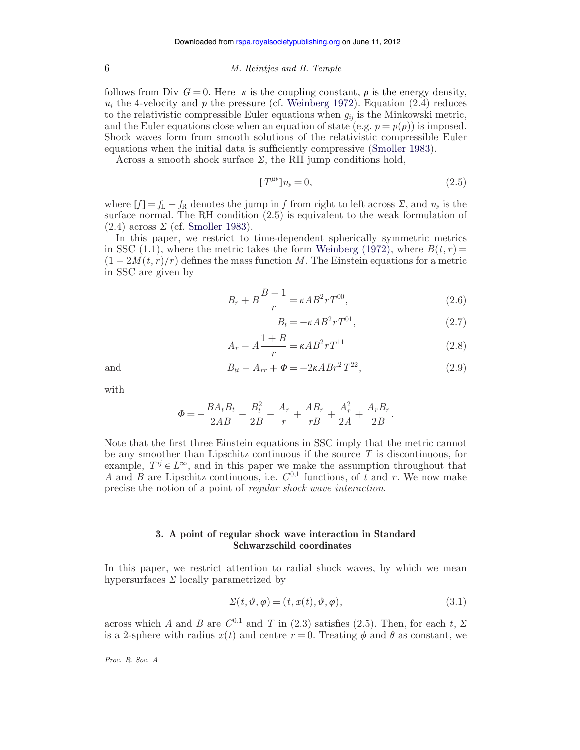follows from Div  $G = 0$ . Here  $\kappa$  is the coupling constant,  $\rho$  is the energy density,  $u_i$  the 4-velocity and  $p$  the pressure (cf. Weinberg 1972). Equation (2.4) reduces to the relativistic compressible Euler equations when  $g_{ij}$  is the Minkowski metric, and the Euler equations close when an equation of state (e.g.  $p = p(\rho)$ ) is imposed. Shock waves form from smooth solutions of the relativistic compressible Euler equations when the initial data is sufficiently compressive (Smoller 1983).

Across a smooth shock surface  $\Sigma$ , the RH jump conditions hold,

$$
[T^{\mu\nu}]n_{\nu}=0,\t\t(2.5)
$$

where  $[f] = f_L - f_R$  denotes the jump in *f* from right to left across  $\Sigma$ , and  $n_v$  is the surface normal. The RH condition (2.5) is equivalent to the weak formulation of  $(2.4)$  across  $\Sigma$  (cf. Smoller 1983).

In this paper, we restrict to time-dependent spherically symmetric metrics in SSC (1.1), where the metric takes the form Weinberg (1972), where  $B(t, r) =$  $(1 - 2M(t, r)/r)$  defines the mass function *M*. The Einstein equations for a metric in SSC are given by

$$
B_r + B \frac{B - 1}{r} = \kappa A B^2 r T^{00},\tag{2.6}
$$

$$
B_t = -\kappa A B^2 r T^{01},\qquad(2.7)
$$

$$
A_r - A \frac{1+B}{r} = \kappa A B^2 r T^{11}
$$
\n(2.8)

and 
$$
B_{tt} - A_{rr} + \Phi = -2\kappa ABr^2T^{22}, \qquad (2.9)
$$

with

$$
\Phi = -\frac{BA_tB_t}{2AB} - \frac{B_t^2}{2B} - \frac{A_r}{r} + \frac{AB_r}{rB} + \frac{A_r^2}{2A} + \frac{A_rB_r}{2B}.
$$

Note that the first three Einstein equations in SSC imply that the metric cannot be any smoother than Lipschitz continuous if the source *T* is discontinuous, for example,  $T^{ij} \in L^{\infty}$ , and in this paper we make the assumption throughout that *A* and *B* are Lipschitz continuous, i.e.  $C^{0,1}$  functions, of *t* and *r*. We now make precise the notion of a point of *regular shock wave interaction*.

# **3. A point of regular shock wave interaction in Standard Schwarzschild coordinates**

In this paper, we restrict attention to radial shock waves, by which we mean hypersurfaces  $\Sigma$  locally parametrized by

$$
\Sigma(t, \vartheta, \varphi) = (t, x(t), \vartheta, \varphi), \tag{3.1}
$$

across which *A* and *B* are  $C^{0,1}$  and *T* in (2.3) satisfies (2.5). Then, for each *t*,  $\Sigma$ is a 2-sphere with radius  $x(t)$  and centre  $r = 0$ . Treating  $\phi$  and  $\theta$  as constant, we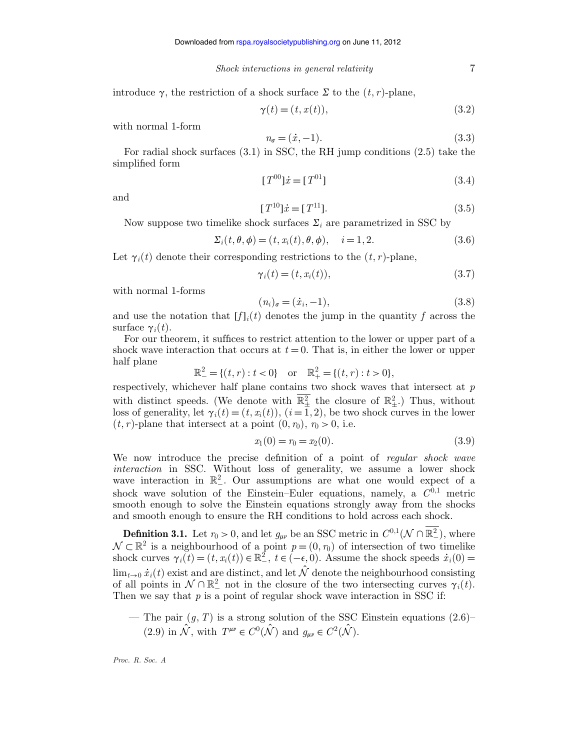introduce  $\gamma$ , the restriction of a shock surface  $\Sigma$  to the  $(t, r)$ -plane,

$$
\gamma(t) = (t, x(t)),\tag{3.2}
$$

with normal 1-form

$$
n_{\sigma} = (\dot{x}, -1). \tag{3.3}
$$

For radial shock surfaces (3.1) in SSC, the RH jump conditions (2.5) take the simplified form

$$
[T^{00}]\dot{x} = [T^{01}]
$$
\n(3.4)

and

$$
[T^{10}]\dot{x} = [T^{11}]. \tag{3.5}
$$

Now suppose two timelike shock surfaces  $\Sigma_i$  are parametrized in SSC by

$$
\Sigma_i(t,\theta,\phi) = (t,x_i(t),\theta,\phi), \quad i = 1,2. \tag{3.6}
$$

Let  $\gamma_i(t)$  denote their corresponding restrictions to the  $(t, r)$ -plane,

$$
\gamma_i(t) = (t, x_i(t)),\tag{3.7}
$$

with normal 1-forms

$$
(n_i)_{\sigma} = (\dot{x}_i, -1), \tag{3.8}
$$

and use the notation that  $[f]_i(t)$  denotes the jump in the quantity f across the surface  $\gamma_i(t)$ .

For our theorem, it suffices to restrict attention to the lower or upper part of a shock wave interaction that occurs at  $t = 0$ . That is, in either the lower or upper half plane

$$
\mathbb{R}^2_- = \{(t, r) : t < 0\} \quad \text{or} \quad \mathbb{R}^2_+ = \{(t, r) : t > 0\},
$$

respectively, whichever half plane contains two shock waves that intersect at *p* with distinct speeds. (We denote with  $\mathbb{R}^2$  the closure of  $\mathbb{R}^2$ ). Thus, without loss of generality, let  $\gamma_i(t) = (t, x_i(t)), (i = 1, 2)$ , be two shock curves in the lower  $(t, r)$ -plane that intersect at a point  $(0, r_0)$ ,  $r_0 > 0$ , i.e.

$$
x_1(0) = r_0 = x_2(0). \tag{3.9}
$$

We now introduce the precise definition of a point of *regular shock wave interaction* in SSC. Without loss of generality, we assume a lower shock wave interaction in  $\mathbb{R}^2$ . Our assumptions are what one would expect of a shock wave solution of the Einstein–Euler equations, namely, a  $C^{0,1}$  metric smooth enough to solve the Einstein equations strongly away from the shocks and smooth enough to ensure the RH conditions to hold across each shock.

**Definition 3.1.** Let  $r_0 > 0$ , and let  $g_{\mu\nu}$  be an SSC metric in  $C^{0,1}(\mathcal{N} \cap \mathbb{R}^2)$ , where  $\mathcal{N} \subset \mathbb{R}^2$  is a neighbourhood of a point  $p = (0, r_0)$  of intersection of two timelike shock curves  $\gamma_i(t) = (t, x_i(t)) \in \mathbb{R}^2$ ,  $t \in (-\epsilon, 0)$ . Assume the shock speeds  $\dot{x}_i(0) =$  $\lim_{t\to 0} \dot{x}_i(t)$  exist and are distinct, and let  $\hat{\mathcal{N}}$  denote the neighbourhood consisting of all points in  $\mathcal{N} \cap \mathbb{R}^2$  not in the closure of the two intersecting curves  $\gamma_i(t)$ . Then we say that p is a point of regular shock wave interaction in SSC if:

— The pair  $(g, T)$  is a strong solution of the SSC Einstein equations  $(2.6)$ – (2.9) in  $\hat{\mathcal{N}}$ , with  $T^{\mu\nu} \in C^0(\hat{\mathcal{N}})$  and  $q_{\mu\nu} \in C^2(\hat{\mathcal{N}})$ .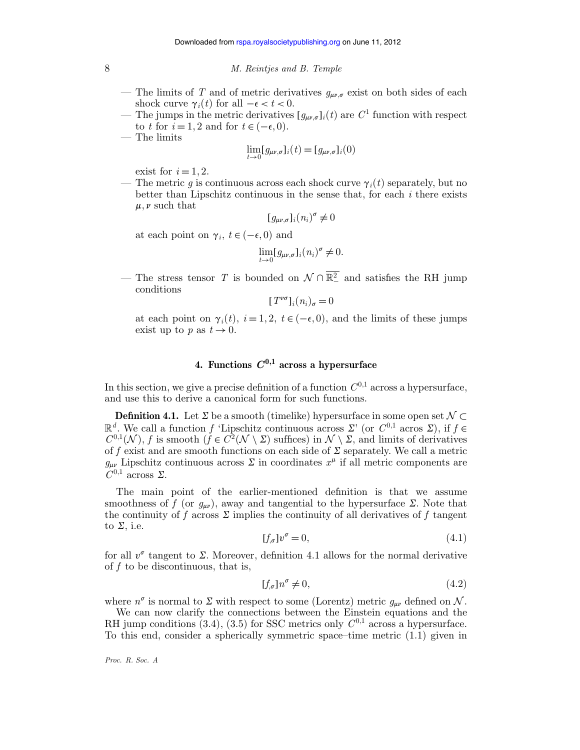- The limits of *T* and of metric derivatives  $g_{\mu\nu,\sigma}$  exist on both sides of each shock curve  $\gamma_i(t)$  for all  $-\epsilon < t < 0$ .
- The jumps in the metric derivatives  $[g_{\mu\nu,\sigma}]_i(t)$  are  $C^1$  function with respect to *t* for  $i = 1, 2$  and for  $t \in (-\epsilon, 0)$ .
- The limits

$$
\lim_{t\to 0}[g_{\mu\nu,\sigma}]_i(t) = [g_{\mu\nu,\sigma}]_i(0)
$$

exist for  $i = 1, 2$ .

— The metric g is continuous across each shock curve  $\gamma_i(t)$  separately, but no better than Lipschitz continuous in the sense that, for each *i* there exists  $\mu, \nu$  such that

$$
[g_{\mu\nu,\sigma}]_i(n_i)^\sigma\neq 0
$$

at each point on  $\gamma_i$ ,  $t \in (-\epsilon, 0)$  and

$$
\lim_{t \to 0} [g_{\mu\nu,\sigma}]_i (n_i)^\sigma \neq 0.
$$

— The stress tensor *T* is bounded on  $N \cap \mathbb{R}^2$  and satisfies the RH jump conditions

$$
[T^{\nu\sigma}]_i(n_i)_{\sigma}=0
$$

at each point on  $\gamma_i(t)$ ,  $i = 1, 2$ ,  $t \in (-\epsilon, 0)$ , and the limits of these jumps exist up to *p* as  $t \to 0$ .

# **4. Functions** *C***0,1 across a hypersurface**

In this section, we give a precise definition of a function  $C^{0,1}$  across a hypersurface, and use this to derive a canonical form for such functions.

**Definition 4.1.** Let  $\Sigma$  be a smooth (timelike) hypersurface in some open set  $\mathcal{N} \subset \mathcal{N}$  $\mathbb{R}^d$ . We call a function *f* 'Lipschitz continuous across Σ' (or  $C^{0,1}$  acros Σ), if *f* ∈  $C^{0,1}(\mathcal{N}),$  *f* is smooth  $(f \in C^2(\mathcal{N} \setminus \Sigma)$  suffices) in  $\mathcal{N} \setminus \Sigma$ , and limits of derivatives of  $f$  exist and are smooth functions on each side of  $\Sigma$  separately. We call a metric  $g_{\mu\nu}$  Lipschitz continuous across  $\Sigma$  in coordinates  $x^{\mu}$  if all metric components are  $C^{0,1}$  across  $\Sigma$ .

The main point of the earlier-mentioned definition is that we assume smoothness of *f* (or  $g_{\mu\nu}$ ), away and tangential to the hypersurface  $\Sigma$ . Note that the continuity of  $f$  across  $\Sigma$  implies the continuity of all derivatives of  $f$  tangent to  $\Sigma$ , i.e.

$$
[f_{,\sigma}]v^{\sigma} = 0,\tag{4.1}
$$

for all  $v^{\sigma}$  tangent to  $\Sigma$ . Moreover, definition 4.1 allows for the normal derivative of *f* to be discontinuous, that is,

$$
[f_{,\sigma}]n^{\sigma} \neq 0,\tag{4.2}
$$

where  $n^{\sigma}$  is normal to  $\Sigma$  with respect to some (Lorentz) metric  $g_{\mu\nu}$  defined on  $\mathcal{N}$ .

We can now clarify the connections between the Einstein equations and the RH jump conditions  $(3.4)$ ,  $(3.5)$  for SSC metrics only  $C^{0,1}$  across a hypersurface. To this end, consider a spherically symmetric space–time metric  $(1.1)$  given in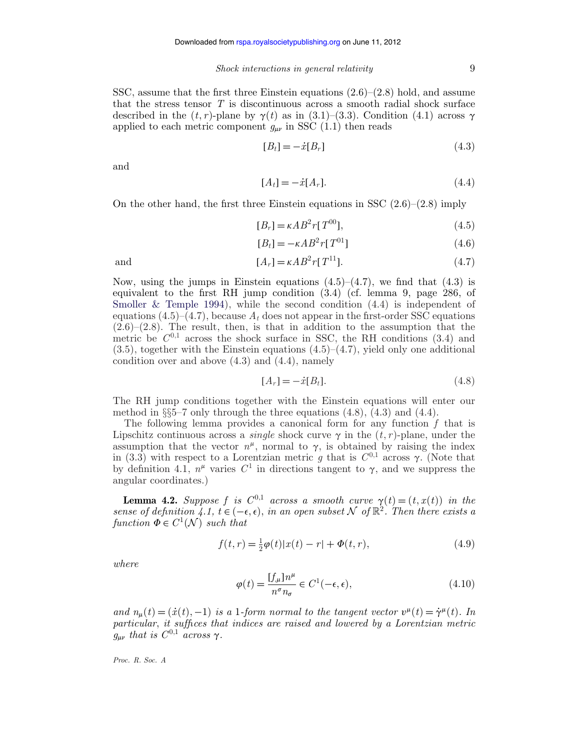SSC, assume that the first three Einstein equations  $(2.6)$ – $(2.8)$  hold, and assume that the stress tensor *T* is discontinuous across a smooth radial shock surface described in the  $(t, r)$ -plane by  $\gamma(t)$  as in  $(3.1)$ – $(3.3)$ . Condition  $(4.1)$  across  $\gamma$ applied to each metric component  $g_{\mu\nu}$  in SSC (1.1) then reads

$$
[B_t] = -\dot{x}[B_r] \tag{4.3}
$$

and

$$
[A_t] = -\dot{x}[A_r].\tag{4.4}
$$

On the other hand, the first three Einstein equations in SSC  $(2.6)$ – $(2.8)$  imply

$$
[B_r] = \kappa A B^2 r [T^{00}], \qquad (4.5)
$$

$$
[B_t] = -\kappa AB^2 r[T^{01}] \tag{4.6}
$$

and 
$$
[A_r] = \kappa AB^2 r [T^{11}]. \qquad (4.7)
$$

Now, using the jumps in Einstein equations  $(4.5)-(4.7)$ , we find that  $(4.3)$  is equivalent to the first RH jump condition  $(3.4)$  (cf. lemma 9, page 286, of Smoller & Temple 1994), while the second condition  $(4.4)$  is independent of equations  $(4.5)$ – $(4.7)$ , because  $A_t$  does not appear in the first-order SSC equations  $(2.6)$ – $(2.8)$ . The result, then, is that in addition to the assumption that the metric be  $C^{0,1}$  across the shock surface in SSC, the RH conditions  $(3.4)$  and  $(3.5)$ , together with the Einstein equations  $(4.5)$ – $(4.7)$ , yield only one additional condition over and above  $(4.3)$  and  $(4.4)$ , namely

$$
[A_r] = -\dot{x}[B_t].\tag{4.8}
$$

The RH jump conditions together with the Einstein equations will enter our method in  $\S5-7$  only through the three equations  $(4.8)$ ,  $(4.3)$  and  $(4.4)$ .

The following lemma provides a canonical form for any function *f* that is Lipschitz continuous across a *single* shock curve  $\gamma$  in the  $(t, r)$ -plane, under the assumption that the vector  $n^{\mu}$ , normal to  $\gamma$ , is obtained by raising the index in (3.3) with respect to a Lorentzian metric *g* that is  $C^{0,1}$  across  $\gamma$ . (Note that by definition 4.1,  $n^{\mu}$  varies  $C^{1}$  in directions tangent to  $\gamma$ , and we suppress the angular coordinates.)

**Lemma 4.2.** *Suppose f is*  $C^{0,1}$  *across a smooth curve*  $\gamma(t) = (t, x(t))$  *in the sense of definition 4.1, t* ∈ (− $\epsilon$ , $\epsilon$ ), *in an open subset* N *of*  $\mathbb{R}^2$ . Then there exists a *function*  $\Phi \in C^1(\mathcal{N})$  *such that* 

$$
f(t,r) = \frac{1}{2}\varphi(t)|x(t) - r| + \varPhi(t,r),
$$
\n(4.9)

*where*

$$
\varphi(t) = \frac{[f_{,\mu}]n^{\mu}}{n^{\sigma}n_{\sigma}} \in C^{1}(-\epsilon, \epsilon), \qquad (4.10)
$$

*and*  $n_{\mu}(t) = (\dot{x}(t), -1)$  *is a* 1*-form normal to the tangent vector*  $v^{\mu}(t) = \dot{\gamma}^{\mu}(t)$ *. In particular*, *it suffices that indices are raised and lowered by a Lorentzian metric*  $g_{\mu\nu}$  that is  $C^{0,1}$  *across*  $\gamma$ .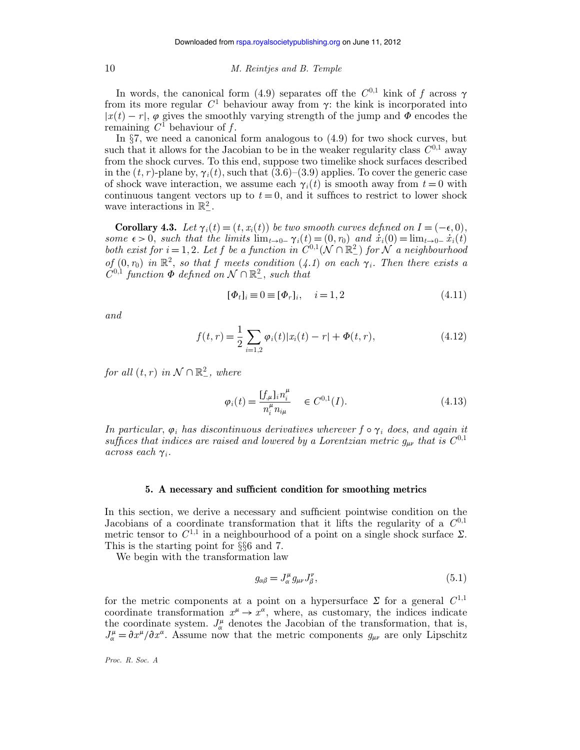In words, the canonical form (4.9) separates off the  $C^{0,1}$  kink of *f* across  $\gamma$ from its more regular  $C^1$  behaviour away from  $\gamma$ : the kink is incorporated into  $|x(t) - r|$ ,  $\varphi$  gives the smoothly varying strength of the jump and  $\Phi$  encodes the remaining  $C^1$  behaviour of f.

In  $\S7$ , we need a canonical form analogous to  $(4.9)$  for two shock curves, but such that it allows for the Jacobian to be in the weaker regularity class  $C^{0,1}$  away from the shock curves. To this end, suppose two timelike shock surfaces described in the  $(t, r)$ -plane by,  $\gamma_i(t)$ , such that  $(3.6)$ – $(3.9)$  applies. To cover the generic case of shock wave interaction, we assume each  $\gamma_i(t)$  is smooth away from  $t = 0$  with continuous tangent vectors up to  $t = 0$ , and it suffices to restrict to lower shock wave interactions in  $\mathbb{R}^2_-$ .

**Corollary 4.3.** *Let*  $\gamma_i(t) = (t, x_i(t))$  *be two smooth curves defined on*  $I = (-\epsilon, 0)$ , *some*  $\epsilon > 0$ , *such that the limits*  $\lim_{t\to 0^-} \gamma_i(t) = (0, r_0)$  *and*  $\dot{x}_i(0) = \lim_{t\to 0^-} \dot{x}_i(t)$ *both exist for*  $i = 1, 2$ *. Let f be a function in*  $C^{0,1}(\mathcal{N} \cap \mathbb{R}^2)$  *for*  $\mathcal{N}$  *a neighbourhood of*  $(0, r_0)$  *in*  $\mathbb{R}^2$ , *so that f meets condition*  $(4.1)$  *on each*  $\gamma_i$ *. Then there exists a*  $C^{0,1}$  *function*  $\Phi$  *defined on*  $\mathcal{N} \cap \mathbb{R}^2$ , *such that* 

$$
[\Phi_t]_i \equiv 0 \equiv [\Phi_r]_i, \quad i = 1, 2 \tag{4.11}
$$

*and*

$$
f(t,r) = \frac{1}{2} \sum_{i=1,2} \varphi_i(t) |x_i(t) - r| + \varPhi(t,r), \qquad (4.12)
$$

*for all*  $(t, r)$  *in*  $\mathcal{N} \cap \mathbb{R}^2_-,$  *where* 

$$
\varphi_i(t) = \frac{[f_{,\mu}]_i n_i^{\mu}}{n_i^{\mu} n_{i\mu}} \quad \in C^{0,1}(I). \tag{4.13}
$$

*In particular,*  $\varphi_i$  *has discontinuous derivatives wherever*  $f \circ \gamma_i$  *does, and again it suffices that indices are raised and lowered by a Lorentzian metric*  $g_{\mu\nu}$  *that is*  $C^{0,1}$ *across each*  $\gamma_i$ .

#### **5. A necessary and sufficient condition for smoothing metrics**

In this section, we derive a necessary and sufficient pointwise condition on the Jacobians of a coordinate transformation that it lifts the regularity of a  $C^{0,1}$ metric tensor to  $C^{1,1}$  in a neighbourhood of a point on a single shock surface  $\Sigma$ . This is the starting point for §§6 and 7.

We begin with the transformation law

$$
g_{\alpha\beta} = J_{\alpha}^{\mu} g_{\mu\nu} J_{\beta}^{\nu}, \qquad (5.1)
$$

for the metric components at a point on a hypersurface  $\Sigma$  for a general  $C^{1,1}$ coordinate transformation  $x^{\mu} \to x^{\alpha}$ , where, as customary, the indices indicate the coordinate system.  $J_{\alpha}^{\mu}$  denotes the Jacobian of the transformation, that is,  $J_{\alpha}^{\mu} = \partial x^{\mu}/\partial x^{\alpha}$ . Assume now that the metric components  $g_{\mu\nu}$  are only Lipschitz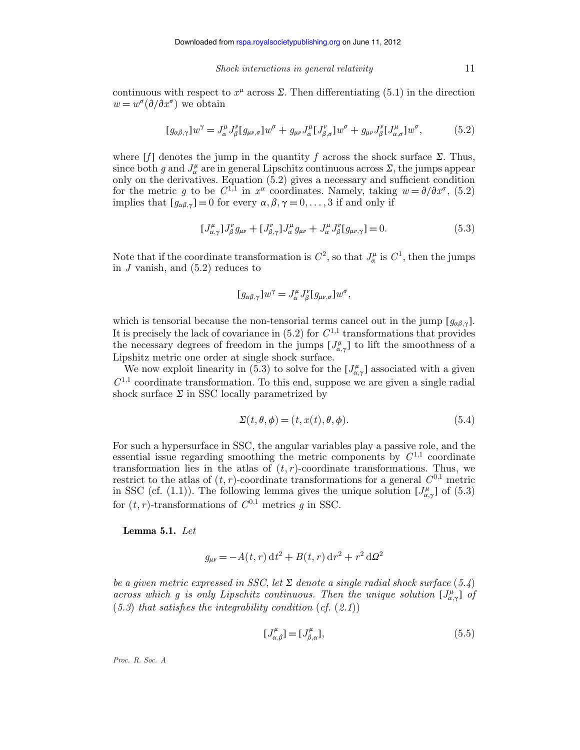continuous with respect to  $x^{\mu}$  across  $\Sigma$ . Then differentiating (5.1) in the direction  $w = w^{\sigma}(\partial/\partial x^{\sigma})$  we obtain

$$
[g_{\alpha\beta,\gamma}]w^{\gamma} = J_{\alpha}^{\mu}J_{\beta}^{\nu}[g_{\mu\nu,\sigma}]w^{\sigma} + g_{\mu\nu}J_{\alpha}^{\mu}[J_{\beta,\sigma}^{\nu}]w^{\sigma} + g_{\mu\nu}J_{\beta}^{\nu}[J_{\alpha,\sigma}^{\mu}]w^{\sigma}, \qquad (5.2)
$$

where  $[f]$  denotes the jump in the quantity  $f$  across the shock surface  $\Sigma$ . Thus, since both *g* and  $J^{\mu}_{\alpha}$  are in general Lipschitz continuous across  $\Sigma$ , the jumps appear only on the derivatives. Equation (5.2) gives a necessary and sufficient condition for the metric *g* to be  $C^{1,1}$  in  $x^{\alpha}$  coordinates. Namely, taking  $w = \partial/\partial x^{\sigma}$ , (5.2) implies that  $[g_{\alpha\beta,\gamma}] = 0$  for every  $\alpha, \beta, \gamma = 0, \ldots, 3$  if and only if

$$
[J^{\mu}_{\alpha,\gamma}]J^{\nu}_{\beta}g_{\mu\nu} + [J^{\nu}_{\beta,\gamma}]J^{\mu}_{\alpha}g_{\mu\nu} + J^{\mu}_{\alpha}J^{\nu}_{\beta}[g_{\mu\nu,\gamma}] = 0.
$$
 (5.3)

Note that if the coordinate transformation is  $C^2$ , so that  $J_\alpha^\mu$  is  $C^1$ , then the jumps in  $J$  vanish, and  $(5.2)$  reduces to

$$
[g_{\alpha\beta,\gamma}]w^{\gamma} = J_{\alpha}^{\mu}J_{\beta}^{\nu}[g_{\mu\nu,\sigma}]w^{\sigma},
$$

which is tensorial because the non-tensorial terms cancel out in the jump  $[g_{\alpha\beta,\gamma}]$ . It is precisely the lack of covariance in  $(5.2)$  for  $C^{1,1}$  transformations that provides the necessary degrees of freedom in the jumps  $[J^{\mu}_{\alpha,\gamma}]$  to lift the smoothness of a Lipshitz metric one order at single shock surface.

We now exploit linearity in (5.3) to solve for the  $[J^{\mu}_{\alpha,\gamma}]$  associated with a given  $C^{1,1}$  coordinate transformation. To this end, suppose we are given a single radial shock surface  $\Sigma$  in SSC locally parametrized by

$$
\Sigma(t,\theta,\phi) = (t, x(t), \theta, \phi). \tag{5.4}
$$

For such a hypersurface in SSC, the angular variables play a passive role, and the essential issue regarding smoothing the metric components by  $C^{1,1}$  coordinate transformation lies in the atlas of  $(t, r)$ -coordinate transformations. Thus, we restrict to the atlas of  $(t, r)$ -coordinate transformations for a general  $C^{0,1}$  metric in SSC (cf. (1.1)). The following lemma gives the unique solution  $[J^{\mu}_{\alpha,\gamma}]$  of (5.3) for  $(t, r)$ -transformations of  $C^{0,1}$  metrics g in SSC.

# **Lemma 5.1.** *Let*

$$
g_{\mu\nu} = -A(t, r) dt^{2} + B(t, r) dr^{2} + r^{2} d\Omega^{2}
$$

*be a given metric expressed in SSC*, *let*  $\Sigma$  *denote a single radial shock surface* (5.4) *across which g is only Lipschitz continuous. Then the unique solution*  $[J^{\mu}_{\alpha,\gamma}]$  of (*5.3*) *that satisfies the integrability condition* (*cf.* (*2.1*))

$$
[J_{\alpha,\beta}^{\mu}] = [J_{\beta,\alpha}^{\mu}], \qquad (5.5)
$$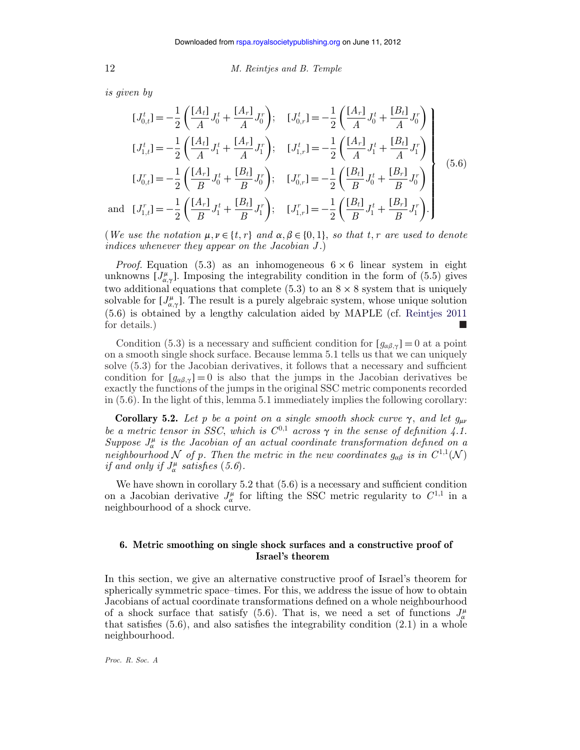*is given by*

$$
[J_{0,t}^{t}] = -\frac{1}{2} \left( \frac{[A_t]}{A} J_0^t + \frac{[A_r]}{A} J_0^r \right); \quad [J_{0,r}^{t}] = -\frac{1}{2} \left( \frac{[A_r]}{A} J_0^t + \frac{[B_t]}{A} J_0^r \right)
$$
  
\n
$$
[J_{1,t}^{t}] = -\frac{1}{2} \left( \frac{[A_t]}{A} J_1^t + \frac{[A_r]}{A} J_1^r \right); \quad [J_{1,r}^{t}] = -\frac{1}{2} \left( \frac{[A_r]}{A} J_1^t + \frac{[B_t]}{A} J_1^r \right)
$$
  
\n
$$
[J_{0,t}^{r}] = -\frac{1}{2} \left( \frac{[A_r]}{B} J_0^t + \frac{[B_t]}{B} J_0^r \right); \quad [J_{0,r}^{r}] = -\frac{1}{2} \left( \frac{[B_t]}{B} J_0^t + \frac{[B_r]}{B} J_0^r \right)
$$
  
\nand 
$$
[J_{1,t}^{r}] = -\frac{1}{2} \left( \frac{[A_r]}{B} J_1^t + \frac{[B_t]}{B} J_1^r \right); \quad [J_{1,r}^{r}] = -\frac{1}{2} \left( \frac{[B_t]}{B} J_1^t + \frac{[B_r]}{B} J_1^r \right).
$$
\n(5.6)

(*We use the notation*  $\mu, \nu \in \{t, r\}$  *and*  $\alpha, \beta \in \{0, 1\}$ , *so that t, r are used to denote indices whenever they appear on the Jacobian J.*)

*Proof.* Equation (5.3) as an inhomogeneous  $6 \times 6$  linear system in eight unknowns  $[J^{\mu}_{\alpha,\gamma}]$ . Imposing the integrability condition in the form of (5.5) gives two additional equations that complete (5.3) to an  $8 \times 8$  system that is uniquely solvable for  $[J^{\mu}_{\alpha,\gamma}]$ . The result is a purely algebraic system, whose unique solution (5.6) is obtained by a lengthy calculation aided by MAPLE (cf. Reintjes 2011 for details.)

Condition (5.3) is a necessary and sufficient condition for  $[g_{\alpha\beta,\gamma}] = 0$  at a point on a smooth single shock surface. Because lemma 5.1 tells us that we can uniquely solve (5.3) for the Jacobian derivatives, it follows that a necessary and sufficient condition for  $[g_{\alpha\beta,\gamma}] = 0$  is also that the jumps in the Jacobian derivatives be exactly the functions of the jumps in the original SSC metric components recorded in (5.6). In the light of this, lemma 5.1 immediately implies the following corollary:

**Corollary 5.2.** Let p be a point on a single smooth shock curve  $\gamma$ , and let  $g_{\mu\nu}$ *be a metric tensor in SSC*, which is  $C^{0,1}$  *across*  $\gamma$  *in the sense of definition 4.1.* Suppose  $J_{\alpha}^{\mu}$  is the Jacobian of an actual coordinate transformation defined on a *neighbourhood* N of p. Then the metric in the new coordinates  $g_{\alpha\beta}$  is in  $C^{1,1}(\mathcal{N})$ *if and only if*  $J^{\mu}_{\alpha}$  *satisfies* (5.6).

We have shown in corollary 5.2 that  $(5.6)$  is a necessary and sufficient condition on a Jacobian derivative  $J_{\alpha}^{\mu}$  for lifting the SSC metric regularity to  $C^{1,1}$  in a neighbourhood of a shock curve.

# **6. Metric smoothing on single shock surfaces and a constructive proof of Israel's theorem**

In this section, we give an alternative constructive proof of Israel's theorem for spherically symmetric space–times. For this, we address the issue of how to obtain Jacobians of actual coordinate transformations defined on a whole neighbourhood of a shock surface that satisfy (5.6). That is, we need a set of functions  $J^{\mu}_{\alpha}$ that satisfies  $(5.6)$ , and also satisfies the integrability condition  $(2.1)$  in a whole neighbourhood.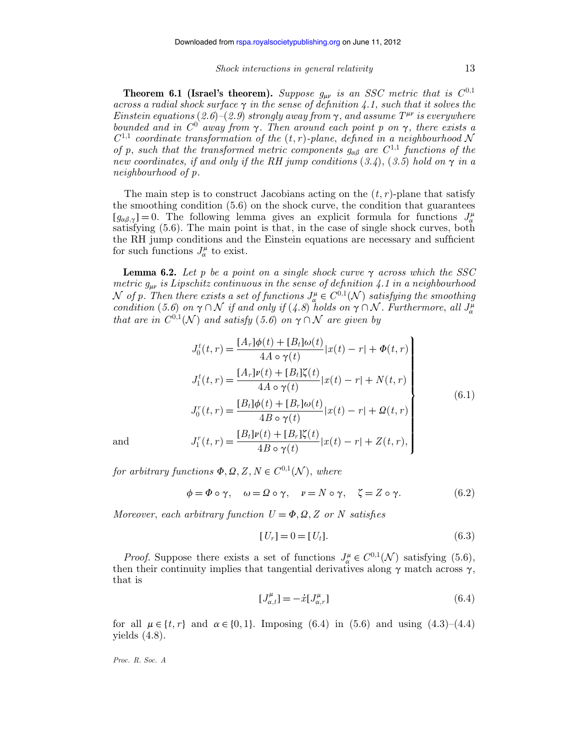**Theorem 6.1 (Israel's theorem).** Suppose  $g_{\mu\nu}$  is an SSC metric that is  $C^{0,1}$ *across a radial shock surface*  $\gamma$  *in the sense of definition 4.1, such that it solves the Einstein equations* (2.6)–(2.9) *strongly away from*  $\gamma$ , *and assume*  $T^{\mu\nu}$  *is everywhere bounded and in*  $C^0$  *away from*  $\gamma$ *. Then around each point p on*  $\gamma$ *, there exists a*  $C^{1,1}$  *coordinate transformation of the*  $(t, r)$ *-plane, defined in a neighbourhood* N *of p, such that the transformed metric components*  $g_{\alpha\beta}$  *are*  $C^{1,1}$  *functions of the new coordinates, if and only if the RH jump conditions*  $(3.4)$ ,  $(3.5)$  *hold on*  $\gamma$  *in a neighbourhood of p.*

The main step is to construct Jacobians acting on the  $(t, r)$ -plane that satisfy the smoothing condition  $(5.6)$  on the shock curve, the condition that guarantees  $[g_{\alpha\beta,\gamma}] = 0$ . The following lemma gives an explicit formula for functions  $J_{\alpha}^{\mu}$ satisfying (5.6). The main point is that, in the case of single shock curves, both the RH jump conditions and the Einstein equations are necessary and sufficient for such functions  $J_{\alpha}^{\mu}$  to exist.

**Lemma 6.2.** Let p be a point on a single shock curve  $\gamma$  across which the SSC *metric*  $g_{\mu\nu}$  *is Lipschitz continuous in the sense of definition 4.1 in a neighbourhood*  $\mathcal N$  *of p. Then there exists a set of functions*  $J^{\mu}_{\alpha} \in C^{0,1}(\mathcal N)$  *satisfying the smoothing condition* (5.6) *on*  $\gamma \cap \mathcal{N}$  *if and only if* (*4.8*) *holds on*  $\gamma \cap \mathcal{N}$ *. Furthermore, all*  $J^{\mu}_{\alpha}$ *that are in*  $C^{0,1}(\mathcal{N})$  *and satisfy* (5.6) *on*  $\gamma \cap \mathcal{N}$  *are given by* 

$$
J_0^t(t, r) = \frac{[A_r]\phi(t) + [B_t]\omega(t)}{4A \circ \gamma(t)}|x(t) - r| + \Phi(t, r)
$$
  
\n
$$
J_1^t(t, r) = \frac{[A_r]\psi(t) + [B_t]\zeta(t)}{4A \circ \gamma(t)}|x(t) - r| + N(t, r)
$$
  
\n
$$
J_0^r(t, r) = \frac{[B_t]\phi(t) + [B_r]\omega(t)}{4B \circ \gamma(t)}|x(t) - r| + \Omega(t, r)
$$
  
\nand  
\n
$$
J_1^r(t, r) = \frac{[B_t]\psi(t) + [B_r]\zeta(t)}{4B \circ \gamma(t)}|x(t) - r| + Z(t, r),
$$
\n(6.1)

*for arbitrary functions*  $\Phi$ ,  $\Omega$ ,  $\overline{Z}$ ,  $N \in C^{0,1}(\mathcal{N})$ , *where* 

$$
\phi = \Phi \circ \gamma, \quad \omega = \Omega \circ \gamma, \quad \nu = N \circ \gamma, \quad \zeta = Z \circ \gamma. \tag{6.2}
$$

*Moreover, each arbitrary function*  $U = \Phi$ ,  $\Omega$ ,  $Z$  or N satisfies

$$
[U_r] = 0 = [U_t]. \tag{6.3}
$$

*Proof.* Suppose there exists a set of functions  $J^{\mu}_{\alpha} \in C^{0,1}(\mathcal{N})$  satisfying (5.6), then their continuity implies that tangential derivatives along  $\gamma$  match across  $\gamma$ , that is

$$
[J_{\alpha,t}^{\mu}] = -\dot{x}[J_{\alpha,r}^{\mu}]
$$
\n(6.4)

for all  $\mu \in \{t, r\}$  and  $\alpha \in \{0, 1\}$ . Imposing (6.4) in (5.6) and using (4.3)–(4.4) yields  $(4.8)$ .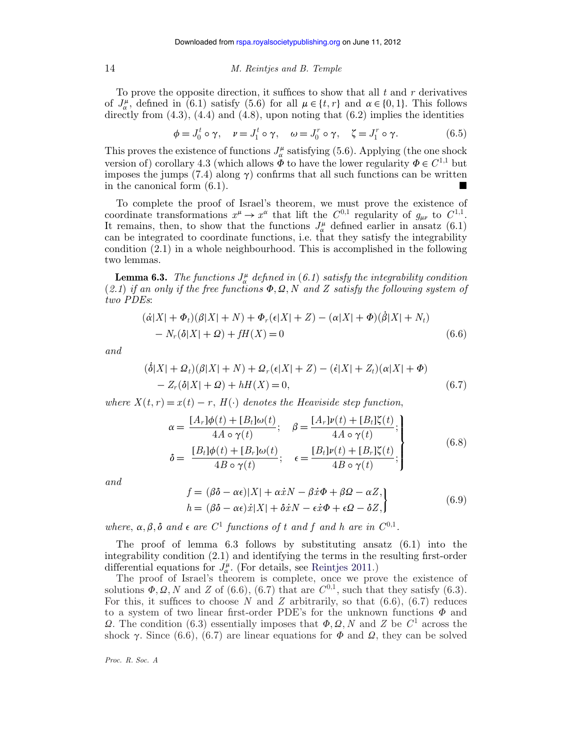To prove the opposite direction, it suffices to show that all *t* and *r* derivatives of  $J_{\alpha}^{\mu}$ , defined in (6.1) satisfy (5.6) for all  $\mu \in \{t, r\}$  and  $\alpha \in \{0, 1\}$ . This follows directly from  $(4.3)$ ,  $(4.4)$  and  $(4.8)$ , upon noting that  $(6.2)$  implies the identities

$$
\phi = J_0^t \circ \gamma, \quad \nu = J_1^t \circ \gamma, \quad \omega = J_0^r \circ \gamma, \quad \zeta = J_1^r \circ \gamma. \tag{6.5}
$$

This proves the existence of functions  $J_{\alpha}^{\mu}$  satisfying (5.6). Applying (the one shock version of) corollary 4.3 (which allows  $\Phi$  to have the lower regularity  $\Phi \in C^{1,1}$  but imposes the jumps (7.4) along  $\gamma$ ) confirms that all such functions can be written in the canonical form  $(6.1)$ .

To complete the proof of Israel's theorem, we must prove the existence of coordinate transformations  $x^{\mu} \to x^{\alpha}$  that lift the  $C^{0,1}$  regularity of  $g_{\mu\nu}$  to  $C^{1,1}$ . It remains, then, to show that the functions  $J^{\mu}_{\alpha}$  defined earlier in ansatz (6.1) can be integrated to coordinate functions, i.e. that they satisfy the integrability condition (2.1) in a whole neighbourhood. This is accomplished in the following two lemmas.

**Lemma 6.3.** *The functions*  $J^{\mu}_{\alpha}$  *defined in* (6.1) *satisfy the integrability condition*  $(2.1)$  *if an only if the free functions*  $\Phi$ ,  $\Omega$ , *N and Z satisfy the following system of two PDEs*:

$$
(\dot{\alpha}|X| + \Phi_t)(\beta|X| + N) + \Phi_r(\epsilon|X| + Z) - (\alpha|X| + \Phi)(\beta|X| + N_t)
$$
  
- N<sub>r</sub>(\delta|X| + \Omega) + fH(X) = 0 (6.6)

*and*

$$
(\dot{\delta}|X| + \Omega_t)(\beta|X| + N) + \Omega_r(\epsilon|X| + Z) - (\dot{\epsilon}|X| + Z_t)(\alpha|X| + \Phi) - Z_r(\delta|X| + \Omega) + hH(X) = 0,
$$
\n(6.7)

*where*  $X(t, r) = x(t) - r$ ,  $H(\cdot)$  *denotes the Heaviside step function*,

$$
\alpha = \frac{[A_r]\phi(t) + [B_t]\omega(t)}{4A \circ \gamma(t)}; \quad \beta = \frac{[A_r]\nu(t) + [B_t]\zeta(t)}{4A \circ \gamma(t)}; \n\delta = \frac{[B_t]\phi(t) + [B_r]\omega(t)}{4B \circ \gamma(t)}; \quad \epsilon = \frac{[B_t]\nu(t) + [B_r]\zeta(t)}{4B \circ \gamma(t)}; \tag{6.8}
$$

*and*

$$
f = (\beta \delta - \alpha \epsilon)|X| + \alpha \dot{x}N - \beta \dot{x}\Phi + \beta \Omega - \alpha Z, h = (\beta \delta - \alpha \epsilon) \dot{x}|X| + \delta \dot{x}N - \epsilon \dot{x}\Phi + \epsilon \Omega - \delta Z,
$$
 (6.9)

*where,*  $\alpha, \beta, \delta$  *and*  $\epsilon$  *are*  $C^1$  *functions of t and f and h are in*  $C^{0,1}$ *.* 

The proof of lemma 6.3 follows by substituting ansatz (6.1) into the integrability condition (2.1) and identifying the terms in the resulting first-order differential equations for  $J^{\mu}_{\alpha}$ . (For details, see Reintjes 2011.)

The proof of Israel's theorem is complete, once we prove the existence of solutions  $\Phi$ , Q, N and Z of (6.6), (6.7) that are  $C^{0,1}$ , such that they satisfy (6.3). For this, it suffices to choose  $N$  and  $Z$  arbitrarily, so that  $(6.6)$ ,  $(6.7)$  reduces to a system of two linear first-order PDE's for the unknown functions  $\Phi$  and  $\Omega$ . The condition (6.3) essentially imposes that  $\Phi$ ,  $\Omega$ , *N* and *Z* be *C*<sup>1</sup> across the shock  $\gamma$ . Since (6.6), (6.7) are linear equations for  $\Phi$  and  $\Omega$ , they can be solved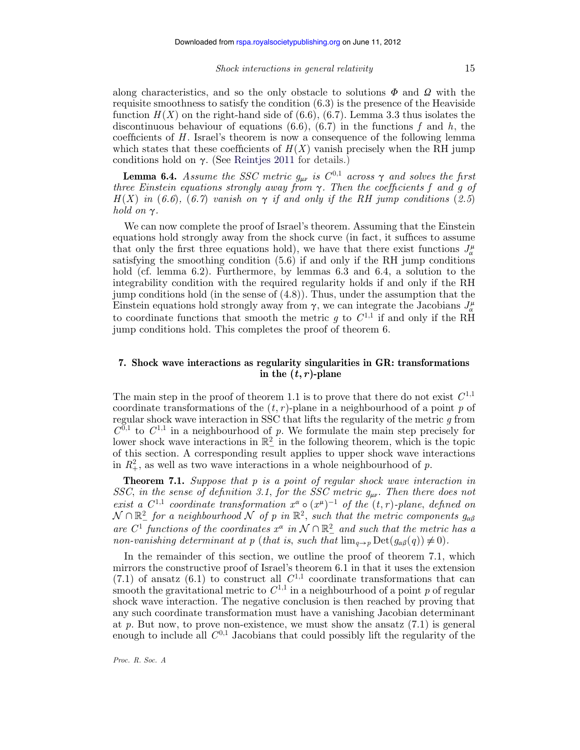along characteristics, and so the only obstacle to solutions  $\Phi$  and  $\Omega$  with the requisite smoothness to satisfy the condition (6.3) is the presence of the Heaviside function  $H(X)$  on the right-hand side of  $(6.6)$ ,  $(6.7)$ . Lemma 3.3 thus isolates the discontinuous behaviour of equations (6.6), (6.7) in the functions *f* and *h*, the coefficients of *H*. Israel's theorem is now a consequence of the following lemma which states that these coefficients of  $H(X)$  vanish precisely when the RH jump conditions hold on  $\gamma$ . (See Reintjes 2011 for details.)

**Lemma 6.4.** *Assume the SSC metric*  $g_{\mu\nu}$  *is*  $C^{0,1}$  *across*  $\gamma$  *and solves the first three Einstein equations strongly away from* g*. Then the coefficients f and g of*  $H(X)$  *in* (6.6)*,* (6.7) *vanish on*  $\gamma$  *if and only if the RH jump conditions* (2.5) *hold on*  $\gamma$ *.* 

We can now complete the proof of Israel's theorem. Assuming that the Einstein equations hold strongly away from the shock curve (in fact, it suffices to assume that only the first three equations hold), we have that there exist functions  $J_{\alpha}^{\mu}$ satisfying the smoothing condition (5.6) if and only if the RH jump conditions hold (cf. lemma 6.2). Furthermore, by lemmas 6.3 and 6.4, a solution to the integrability condition with the required regularity holds if and only if the RH jump conditions hold (in the sense of (4.8)). Thus, under the assumption that the Einstein equations hold strongly away from  $\gamma$ , we can integrate the Jacobians  $J^{\mu}_{\alpha}$ to coordinate functions that smooth the metric *q* to  $C^{1,1}$  if and only if the RH jump conditions hold. This completes the proof of theorem 6.

# **7. Shock wave interactions as regularity singularities in GR: transformations**  $\text{in the } (t, r)$ -plane

The main step in the proof of theorem 1.1 is to prove that there do not exist  $C^{1,1}$ coordinate transformations of the  $(t, r)$ -plane in a neighbourhood of a point  $p$  of regular shock wave interaction in SSC that lifts the regularity of the metric *g* from  $C^{0,1}$  to  $C^{1,1}$  in a neighbourhood of *p*. We formulate the main step precisely for lower shock wave interactions in  $\mathbb{R}^2$  in the following theorem, which is the topic of this section. A corresponding result applies to upper shock wave interactions in  $R_+^2$ , as well as two wave interactions in a whole neighbourhood of  $p$ .

**Theorem 7.1.** *Suppose that p is a point of regular shock wave interaction in SSC*, *in the sense of definition 3.1, for the SSC metric*  $g_{\mu\nu}$ *. Then there does not*  $\frac{e}{\pi}$  *exist a*  $C^{1,1}$  *coordinate transformation*  $x^{\alpha} \circ (x^{\mu})^{-1}$  *of the*  $(t, r)$ *-plane, defined on*  $\mathcal{N} \cap \mathbb{R}^2$  for a neighbourhood  $\mathcal N$  of p in  $\mathbb{R}^2$ , such that the metric components  $g_{\alpha\beta}$ *are C*<sup>1</sup> *functions of the coordinates*  $x^{\alpha}$  *in*  $\mathcal{N} \cap \mathbb{R}^2$  *and such that the metric has a non-vanishing determinant at p* (*that is, such that*  $\lim_{q\to p} \text{Det}(g_{\alpha\beta}(q)) \neq 0$ *).* 

In the remainder of this section, we outline the proof of theorem 7.1, which mirrors the constructive proof of Israel's theorem 6.1 in that it uses the extension  $(7.1)$  of ansatz  $(6.1)$  to construct all  $C^{1,1}$  coordinate transformations that can smooth the gravitational metric to  $C^{1,1}$  in a neighbourhood of a point *p* of regular shock wave interaction. The negative conclusion is then reached by proving that any such coordinate transformation must have a vanishing Jacobian determinant at *p*. But now, to prove non-existence, we must show the ansatz (7.1) is general enough to include all  $C^{0,1}$  Jacobians that could possibly lift the regularity of the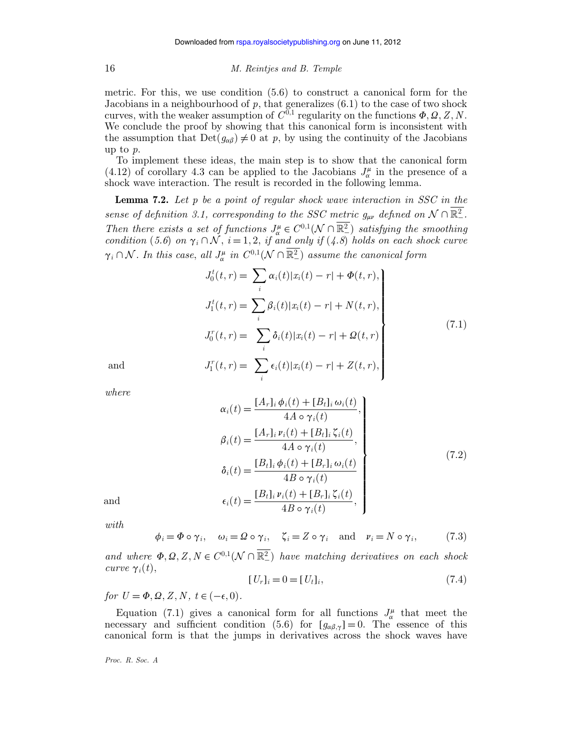metric. For this, we use condition (5.6) to construct a canonical form for the Jacobians in a neighbourhood of  $p$ , that generalizes  $(6.1)$  to the case of two shock curves, with the weaker assumption of  $C^{0,1}$  regularity on the functions  $\Phi, \mathcal{Q}, Z, N$ . We conclude the proof by showing that this canonical form is inconsistent with the assumption that  $Det(g_{\alpha\beta}) \neq 0$  at p, by using the continuity of the Jacobians up to *p*.

To implement these ideas, the main step is to show that the canonical form (4.12) of corollary 4.3 can be applied to the Jacobians  $J_{\alpha}^{\mu}$  in the presence of a shock wave interaction. The result is recorded in the following lemma.

**Lemma 7.2.** *Let p be a point of regular shock wave interaction in SSC in the sense of definition 3.1, corresponding to the SSC metric*  $g_{\mu\nu}$  *defined on*  $\mathcal{N} \cap \mathbb{R}^2$ . *Then there exists a set of functions*  $J^{\mu}_{\alpha} \in C^{0,1}(\mathcal{N} \cap \mathbb{R}^2)$  *satisfying the smoothing condition* (5.6) *on*  $\gamma_i \cap \mathcal{N}$ ,  $i = 1, 2$ , *if and only if* (4.8) *holds on each shock curve*  $\gamma_i \cap \mathcal{N}$ . In this case, all  $J^{\mu}_{\alpha}$  in  $C^{0,1}(\mathcal{N} \cap \mathbb{R}^2)$  assume the canonical form

$$
J_0^t(t, r) = \sum_i \alpha_i(t) |x_i(t) - r| + \Phi(t, r),
$$
  
\n
$$
J_1^t(t, r) = \sum_i \beta_i(t) |x_i(t) - r| + N(t, r),
$$
  
\n
$$
J_0^r(t, r) = \sum_i \delta_i(t) |x_i(t) - r| + \Omega(t, r)
$$
  
\n
$$
J_1^r(t, r) = \sum_i \epsilon_i(t) |x_i(t) - r| + Z(t, r),
$$
\n(7.1)

and *J <sup>r</sup>*

*where*

$$
\alpha_i(t) = \frac{[A_r]_i \phi_i(t) + [B_t]_i \omega_i(t)}{4A \circ \gamma_i(t)},
$$
\n
$$
\beta_i(t) = \frac{[A_r]_i \nu_i(t) + [B_t]_i \zeta_i(t)}{4A \circ \gamma_i(t)},
$$
\n
$$
\delta_i(t) = \frac{[B_t]_i \phi_i(t) + [B_r]_i \omega_i(t)}{4B \circ \gamma_i(t)}
$$
\nand\n
$$
\epsilon_i(t) = \frac{[B_t]_i \nu_i(t) + [B_r]_i \zeta_i(t)}{4B \circ \gamma_i(t)},
$$
\n
$$
(7.2)
$$

*with*

 $\phi_i = \Phi \circ \gamma_i$ ,  $\omega_i = \Omega \circ \gamma_i$ ,  $\zeta_i = Z \circ \gamma_i$  and  $\nu_i = N \circ \gamma_i$ , (7.3)

*and where*  $\Phi, \Omega, Z, N \in C^{0,1}(\mathcal{N} \cap \mathbb{R}^2)$  *have matching derivatives on each shock curve*  $\gamma_i(t)$ ,

$$
[U_r]_i = 0 = [U_t]_i,\tag{7.4}
$$

*for*  $U = \Phi, \Omega, Z, N, t \in (-\epsilon, 0)$ *.* 

Equation (7.1) gives a canonical form for all functions  $J_{\alpha}^{\mu}$  that meet the necessary and sufficient condition (5.6) for  $[g_{\alpha\beta,\gamma}] = 0$ . The essence of this canonical form is that the jumps in derivatives across the shock waves have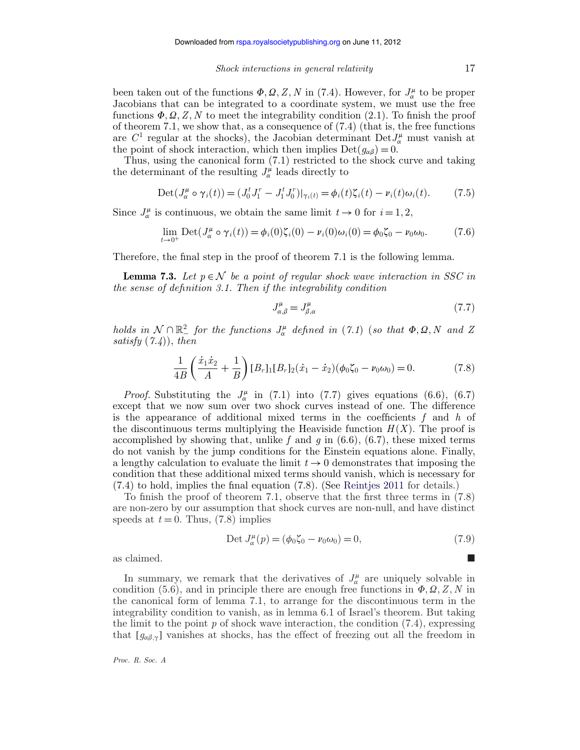been taken out of the functions  $\Phi$ , Q, Z, N in (7.4). However, for  $J_{\alpha}^{\mu}$  to be proper Jacobians that can be integrated to a coordinate system, we must use the free functions  $\Phi$ ,  $\Omega$ ,  $\overline{Z}$ ,  $\overline{N}$  to meet the integrability condition (2.1). To finish the proof of theorem 7.1, we show that, as a consequence of  $(7.4)$  (that is, the free functions are  $C^1$  regular at the shocks), the Jacobian determinant  $Det J^{\mu}_{\alpha}$  must vanish at the point of shock interaction, which then implies  $Det(g_{\alpha\beta}) = 0$ .

Thus, using the canonical form (7.1) restricted to the shock curve and taking the determinant of the resulting  $J^{\mu}_{\alpha}$  leads directly to

$$
Det(J_{\alpha}^{\mu} \circ \gamma_i(t)) = (J_0^t J_1^r - J_1^t J_0^r)|_{\gamma_i(t)} = \phi_i(t)\zeta_i(t) - \nu_i(t)\omega_i(t). \tag{7.5}
$$

Since  $J^{\mu}_{\alpha}$  is continuous, we obtain the same limit  $t \to 0$  for  $i = 1, 2$ ,

$$
\lim_{t \to 0^+} \text{Det}(J^{\mu}_{\alpha} \circ \gamma_i(t)) = \phi_i(0)\zeta_i(0) - \nu_i(0)\omega_i(0) = \phi_0\zeta_0 - \nu_0\omega_0. \tag{7.6}
$$

Therefore, the final step in the proof of theorem 7.1 is the following lemma.

**Lemma 7.3.** Let  $p \in \mathcal{N}$  be a point of regular shock wave interaction in SSC in *the sense of definition 3.1. Then if the integrability condition*

$$
J_{\alpha,\beta}^{\mu} = J_{\beta,\alpha}^{\mu} \tag{7.7}
$$

*holds* in  $\mathcal{N} \cap \mathbb{R}^2$  for the functions  $J^{\mu}_{\alpha}$  defined in (7.1) (so that  $\Phi, \Omega, N$  and Z *satisfy* (*7.4*)), *then*

$$
\frac{1}{4B} \left( \frac{\dot{x}_1 \dot{x}_2}{A} + \frac{1}{B} \right) [B_r]_1 [B_r]_2 (\dot{x}_1 - \dot{x}_2) (\phi_0 \zeta_0 - \nu_0 \omega_0) = 0. \tag{7.8}
$$

*Proof.* Substituting the  $J^{\mu}_{\alpha}$  in (7.1) into (7.7) gives equations (6.6), (6.7) except that we now sum over two shock curves instead of one. The difference is the appearance of additional mixed terms in the coefficients *f* and *h* of the discontinuous terms multiplying the Heaviside function  $H(X)$ . The proof is accomplished by showing that, unlike  $f$  and  $g$  in  $(6.6)$ ,  $(6.7)$ , these mixed terms do not vanish by the jump conditions for the Einstein equations alone. Finally, a lengthy calculation to evaluate the limit  $t \to 0$  demonstrates that imposing the condition that these additional mixed terms should vanish, which is necessary for (7.4) to hold, implies the final equation (7.8). (See Reintjes 2011 for details.)

To finish the proof of theorem 7.1, observe that the first three terms in (7.8) are non-zero by our assumption that shock curves are non-null, and have distinct speeds at  $t = 0$ . Thus, (7.8) implies

$$
Det J_{\alpha}^{\mu}(p) = (\phi_0 \zeta_0 - \nu_0 \omega_0) = 0,
$$
\n(7.9)

as claimed.  $\blacksquare$ 

In summary, we remark that the derivatives of  $J^{\mu}_{\alpha}$  are uniquely solvable in condition (5.6), and in principle there are enough free functions in  $\Phi$ ,  $\Omega$ ,  $\bar{Z}$ ,  $\bar{N}$  in the canonical form of lemma 7.1, to arrange for the discontinuous term in the integrability condition to vanish, as in lemma 6.1 of Israel's theorem. But taking the limit to the point  $p$  of shock wave interaction, the condition  $(7.4)$ , expressing that  $[g_{\alpha\beta,\gamma}]$  vanishes at shocks, has the effect of freezing out all the freedom in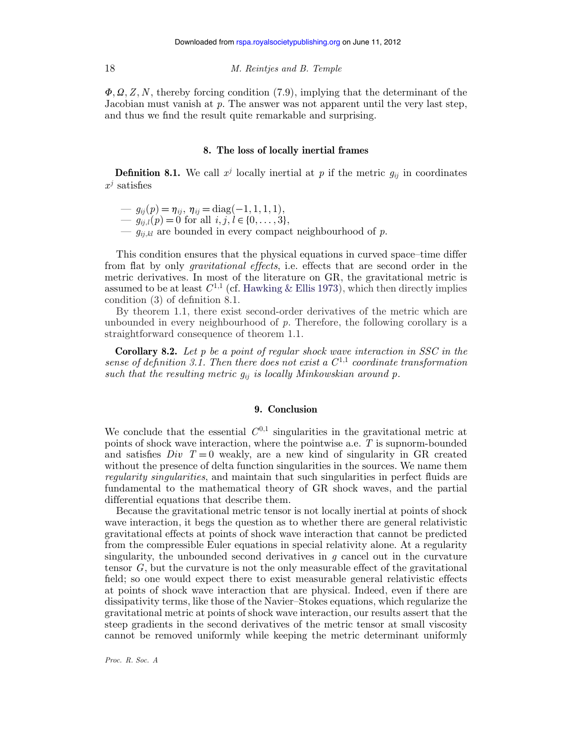$\Phi, \mathcal{Q}, Z, N$ , thereby forcing condition (7.9), implying that the determinant of the Jacobian must vanish at *p*. The answer was not apparent until the very last step, and thus we find the result quite remarkable and surprising.

# **8. The loss of locally inertial frames**

**Definition 8.1.** We call  $x^j$  locally inertial at  $p$  if the metric  $g_{ij}$  in coordinates  $x^j$  satisfies

 $- g_{ij}(p) = \eta_{ij}, \eta_{ij} = \text{diag}(-1, 1, 1, 1),$ 

 $- g_{ij,l}(p) = 0$  for all  $i, j, l \in \{0, \ldots, 3\},$ 

 $- g_{ij,kl}$  are bounded in every compact neighbourhood of  $p$ .

This condition ensures that the physical equations in curved space–time differ from flat by only *gravitational effects*, i.e. effects that are second order in the metric derivatives. In most of the literature on GR, the gravitational metric is assumed to be at least  $C^{1,1}$  (cf. Hawking & Ellis 1973), which then directly implies condition (3) of definition 8.1.

By theorem 1.1, there exist second-order derivatives of the metric which are unbounded in every neighbourhood of *p*. Therefore, the following corollary is a straightforward consequence of theorem 1.1.

**Corollary 8.2.** *Let p be a point of regular shock wave interaction in SSC in the sense of definition 3.1. Then there does not exist a C*1,1 *coordinate transformation such that the resulting metric gij is locally Minkowskian around p.*

# **9. Conclusion**

We conclude that the essential  $C^{0,1}$  singularities in the gravitational metric at points of shock wave interaction, where the pointwise a.e. *T* is supnorm-bounded and satisfies  $Div T = 0$  weakly, are a new kind of singularity in GR created without the presence of delta function singularities in the sources. We name them *regularity singularities*, and maintain that such singularities in perfect fluids are fundamental to the mathematical theory of GR shock waves, and the partial differential equations that describe them.

Because the gravitational metric tensor is not locally inertial at points of shock wave interaction, it begs the question as to whether there are general relativistic gravitational effects at points of shock wave interaction that cannot be predicted from the compressible Euler equations in special relativity alone. At a regularity singularity, the unbounded second derivatives in *g* cancel out in the curvature tensor *G*, but the curvature is not the only measurable effect of the gravitational field; so one would expect there to exist measurable general relativistic effects at points of shock wave interaction that are physical. Indeed, even if there are dissipativity terms, like those of the Navier–Stokes equations, which regularize the gravitational metric at points of shock wave interaction, our results assert that the steep gradients in the second derivatives of the metric tensor at small viscosity cannot be removed uniformly while keeping the metric determinant uniformly